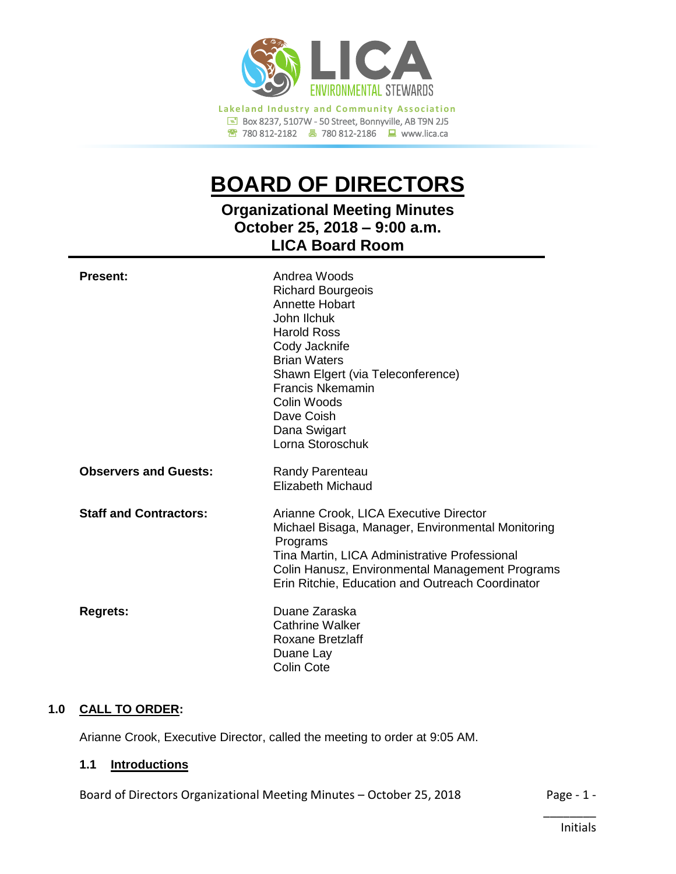

780 812-2182780 812-2186www.lica.ca

# **BOARD OF DIRECTORS**

# **Organizational Meeting Minutes October 25, 2018 – 9:00 a.m. LICA Board Room**

| <b>Present:</b>               | Andrea Woods<br><b>Richard Bourgeois</b><br><b>Annette Hobart</b><br>John Ilchuk.<br><b>Harold Ross</b><br>Cody Jacknife<br><b>Brian Waters</b><br>Shawn Elgert (via Teleconference)<br>Francis Nkemamin<br>Colin Woods<br>Dave Coish<br>Dana Swigart<br>Lorna Storoschuk |
|-------------------------------|---------------------------------------------------------------------------------------------------------------------------------------------------------------------------------------------------------------------------------------------------------------------------|
| <b>Observers and Guests:</b>  | <b>Randy Parenteau</b><br><b>Elizabeth Michaud</b>                                                                                                                                                                                                                        |
| <b>Staff and Contractors:</b> | Arianne Crook, LICA Executive Director<br>Michael Bisaga, Manager, Environmental Monitoring<br>Programs<br>Tina Martin, LICA Administrative Professional<br>Colin Hanusz, Environmental Management Programs<br>Erin Ritchie, Education and Outreach Coordinator           |
| <b>Regrets:</b>               | Duane Zaraska<br>Cathrine Walker<br>Roxane Bretzlaff<br>Duane Lay<br>Colin Cote                                                                                                                                                                                           |

# **1.0 CALL TO ORDER:**

Arianne Crook, Executive Director, called the meeting to order at 9:05 AM.

#### **1.1 Introductions**

Board of Directors Organizational Meeting Minutes - October 25, 2018 Page - 1 -

\_\_\_\_\_\_\_\_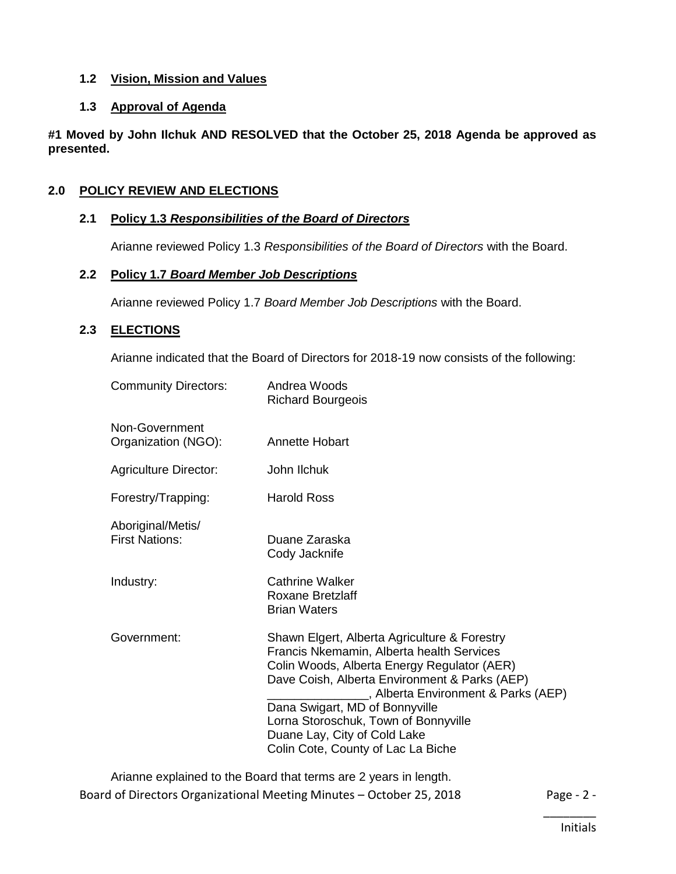#### **1.2 Vision, Mission and Values**

# **1.3 Approval of Agenda**

**#1 Moved by John Ilchuk AND RESOLVED that the October 25, 2018 Agenda be approved as presented.**

# **2.0 POLICY REVIEW AND ELECTIONS**

#### **2.1 Policy 1.3** *Responsibilities of the Board of Directors*

Arianne reviewed Policy 1.3 *Responsibilities of the Board of Directors* with the Board.

#### **2.2 Policy 1.7** *Board Member Job Descriptions*

Arianne reviewed Policy 1.7 *Board Member Job Descriptions* with the Board.

# **2.3 ELECTIONS**

Arianne indicated that the Board of Directors for 2018-19 now consists of the following:

| <b>Community Directors:</b>                | Andrea Woods<br><b>Richard Bourgeois</b>                                                                                                                                                                                                                                                                                                                                         |
|--------------------------------------------|----------------------------------------------------------------------------------------------------------------------------------------------------------------------------------------------------------------------------------------------------------------------------------------------------------------------------------------------------------------------------------|
| Non-Government<br>Organization (NGO):      | Annette Hobart                                                                                                                                                                                                                                                                                                                                                                   |
| <b>Agriculture Director:</b>               | John Ilchuk                                                                                                                                                                                                                                                                                                                                                                      |
| Forestry/Trapping:                         | <b>Harold Ross</b>                                                                                                                                                                                                                                                                                                                                                               |
| Aboriginal/Metis/<br><b>First Nations:</b> | Duane Zaraska<br>Cody Jacknife                                                                                                                                                                                                                                                                                                                                                   |
| Industry:                                  | <b>Cathrine Walker</b><br><b>Roxane Bretzlaff</b><br><b>Brian Waters</b>                                                                                                                                                                                                                                                                                                         |
| Government:                                | Shawn Elgert, Alberta Agriculture & Forestry<br>Francis Nkemamin, Alberta health Services<br>Colin Woods, Alberta Energy Regulator (AER)<br>Dave Coish, Alberta Environment & Parks (AEP)<br>, Alberta Environment & Parks (AEP)<br>Dana Swigart, MD of Bonnyville<br>Lorna Storoschuk, Town of Bonnyville<br>Duane Lay, City of Cold Lake<br>Colin Cote, County of Lac La Biche |

Board of Directors Organizational Meeting Minutes - October 25, 2018 Page - 2 -Arianne explained to the Board that terms are 2 years in length.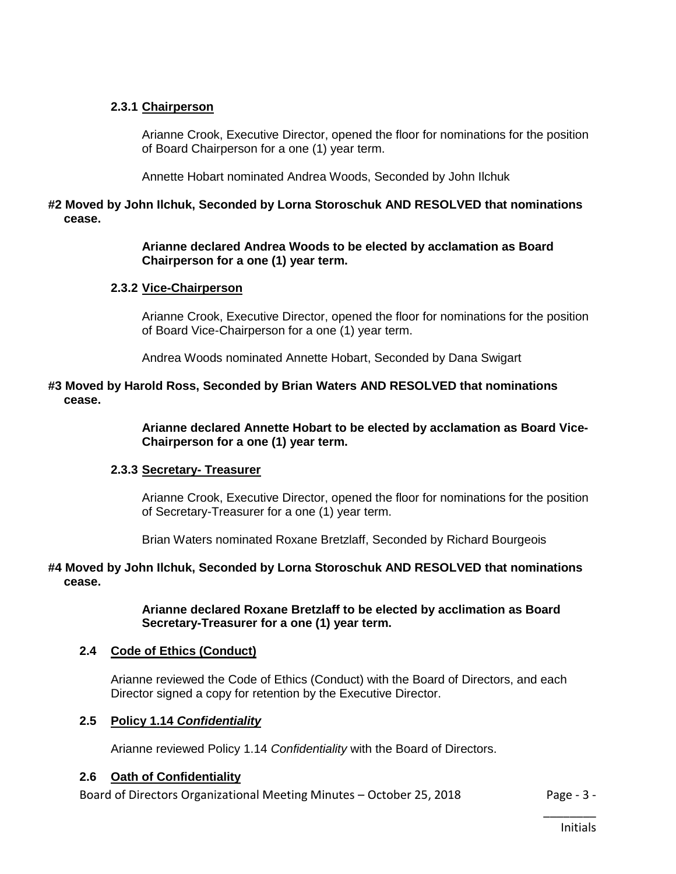#### **2.3.1 Chairperson**

Arianne Crook, Executive Director, opened the floor for nominations for the position of Board Chairperson for a one (1) year term.

Annette Hobart nominated Andrea Woods, Seconded by John Ilchuk

# **#2 Moved by John Ilchuk, Seconded by Lorna Storoschuk AND RESOLVED that nominations cease.**

#### **Arianne declared Andrea Woods to be elected by acclamation as Board Chairperson for a one (1) year term.**

#### **2.3.2 Vice-Chairperson**

Arianne Crook, Executive Director, opened the floor for nominations for the position of Board Vice-Chairperson for a one (1) year term.

Andrea Woods nominated Annette Hobart, Seconded by Dana Swigart

#### **#3 Moved by Harold Ross, Seconded by Brian Waters AND RESOLVED that nominations cease.**

**Arianne declared Annette Hobart to be elected by acclamation as Board Vice-Chairperson for a one (1) year term.**

#### **2.3.3 Secretary- Treasurer**

Arianne Crook, Executive Director, opened the floor for nominations for the position of Secretary-Treasurer for a one (1) year term.

Brian Waters nominated Roxane Bretzlaff, Seconded by Richard Bourgeois

#### **#4 Moved by John Ilchuk, Seconded by Lorna Storoschuk AND RESOLVED that nominations cease.**

**Arianne declared Roxane Bretzlaff to be elected by acclimation as Board Secretary-Treasurer for a one (1) year term.**

#### **2.4 Code of Ethics (Conduct)**

Arianne reviewed the Code of Ethics (Conduct) with the Board of Directors, and each Director signed a copy for retention by the Executive Director.

#### **2.5 Policy 1.14** *Confidentiality*

Arianne reviewed Policy 1.14 *Confidentiality* with the Board of Directors.

#### **2.6 Oath of Confidentiality**

Board of Directors Organizational Meeting Minutes – October 25, 2018 Page - 3 -

\_\_\_\_\_\_\_\_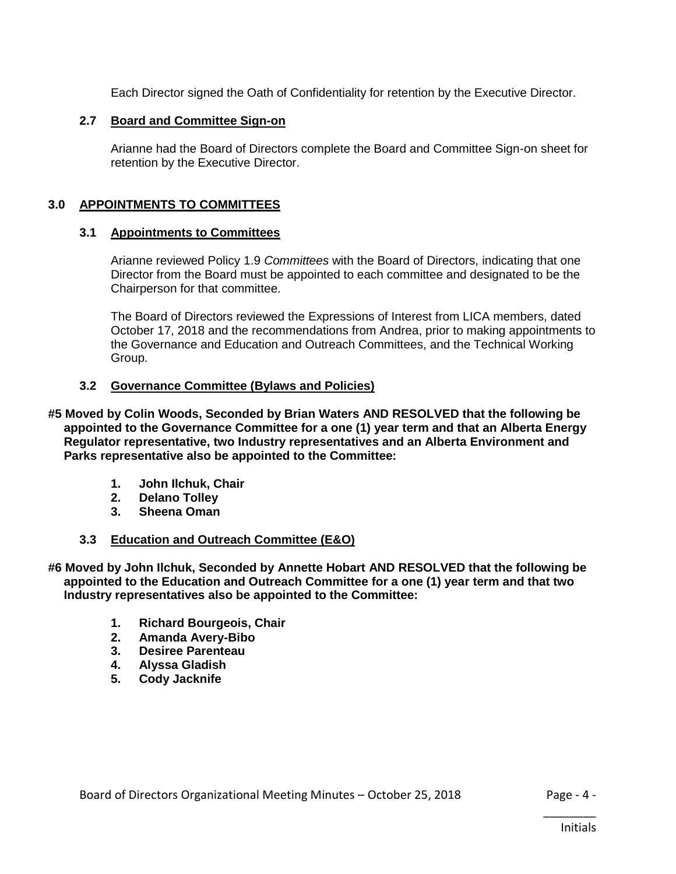Each Director signed the Oath of Confidentiality for retention by the Executive Director.

#### **2.7 Board and Committee Sign-on**

Arianne had the Board of Directors complete the Board and Committee Sign-on sheet for retention by the Executive Director.

# **3.0 APPOINTMENTS TO COMMITTEES**

#### **3.1 Appointments to Committees**

Arianne reviewed Policy 1.9 *Committees* with the Board of Directors, indicating that one Director from the Board must be appointed to each committee and designated to be the Chairperson for that committee.

The Board of Directors reviewed the Expressions of Interest from LICA members, dated October 17, 2018 and the recommendations from Andrea, prior to making appointments to the Governance and Education and Outreach Committees, and the Technical Working Group.

#### **3.2 Governance Committee (Bylaws and Policies)**

**#5 Moved by Colin Woods, Seconded by Brian Waters AND RESOLVED that the following be appointed to the Governance Committee for a one (1) year term and that an Alberta Energy Regulator representative, two Industry representatives and an Alberta Environment and Parks representative also be appointed to the Committee:**

- **1. John Ilchuk, Chair**
- **2. Delano Tolley**
- **3. Sheena Oman**

#### **3.3 Education and Outreach Committee (E&O)**

**#6 Moved by John Ilchuk, Seconded by Annette Hobart AND RESOLVED that the following be appointed to the Education and Outreach Committee for a one (1) year term and that two Industry representatives also be appointed to the Committee:**

- **1. Richard Bourgeois, Chair**
- **2. Amanda Avery-Bibo**
- **3. Desiree Parenteau**
- **4. Alyssa Gladish**
- **5. Cody Jacknife**